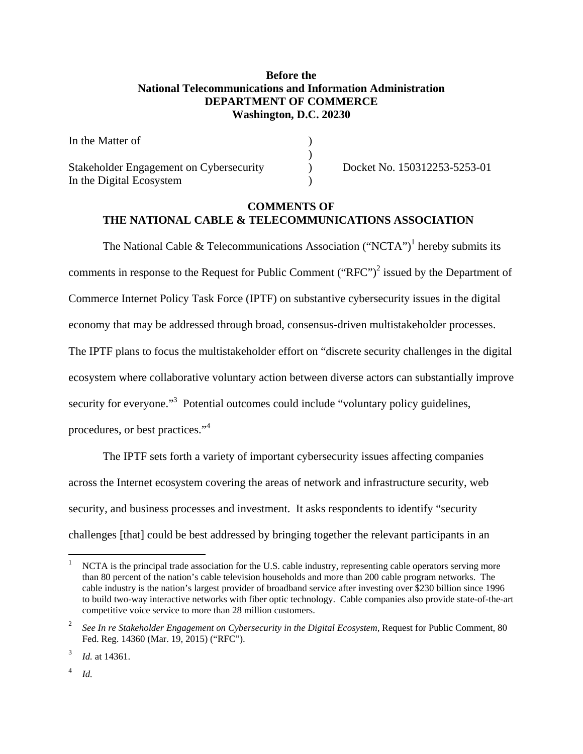# **Before the National Telecommunications and Information Administration DEPARTMENT OF COMMERCE Washington, D.C. 20230**

| In the Matter of                        |  |
|-----------------------------------------|--|
|                                         |  |
| Stakeholder Engagement on Cybersecurity |  |
| In the Digital Ecosystem                |  |

Docket No. 150312253-5253-01

# **COMMENTS OF THE NATIONAL CABLE & TELECOMMUNICATIONS ASSOCIATION**

The National Cable & Telecommunications Association ("NCTA")<sup>1</sup> hereby submits its comments in response to the Request for Public Comment ("RFC")<sup>2</sup> issued by the Department of Commerce Internet Policy Task Force (IPTF) on substantive cybersecurity issues in the digital economy that may be addressed through broad, consensus-driven multistakeholder processes. The IPTF plans to focus the multistakeholder effort on "discrete security challenges in the digital ecosystem where collaborative voluntary action between diverse actors can substantially improve security for everyone."<sup>3</sup> Potential outcomes could include "voluntary policy guidelines, procedures, or best practices."<sup>4</sup>

 The IPTF sets forth a variety of important cybersecurity issues affecting companies across the Internet ecosystem covering the areas of network and infrastructure security, web security, and business processes and investment. It asks respondents to identify "security challenges [that] could be best addressed by bringing together the relevant participants in an

4 *Id.*

1

<sup>1</sup> NCTA is the principal trade association for the U.S. cable industry, representing cable operators serving more than 80 percent of the nation's cable television households and more than 200 cable program networks. The cable industry is the nation's largest provider of broadband service after investing over \$230 billion since 1996 to build two-way interactive networks with fiber optic technology. Cable companies also provide state-of-the-art competitive voice service to more than 28 million customers.

<sup>2</sup> See In re Stakeholder Engagement on Cybersecurity in the Digital Ecosystem, Request for Public Comment, 80 Fed. Reg. 14360 (Mar. 19, 2015) ("RFC").

<sup>3</sup> *Id.* at 14361.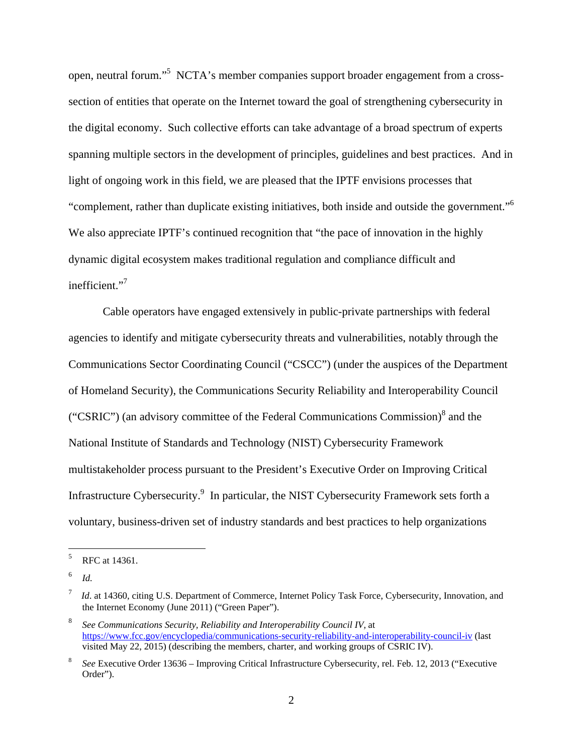open, neutral forum."<sup>5</sup> NCTA's member companies support broader engagement from a crosssection of entities that operate on the Internet toward the goal of strengthening cybersecurity in the digital economy. Such collective efforts can take advantage of a broad spectrum of experts spanning multiple sectors in the development of principles, guidelines and best practices. And in light of ongoing work in this field, we are pleased that the IPTF envisions processes that "complement, rather than duplicate existing initiatives, both inside and outside the government."6 We also appreciate IPTF's continued recognition that "the pace of innovation in the highly dynamic digital ecosystem makes traditional regulation and compliance difficult and inefficient."<sup>7</sup>

Cable operators have engaged extensively in public-private partnerships with federal agencies to identify and mitigate cybersecurity threats and vulnerabilities, notably through the Communications Sector Coordinating Council ("CSCC") (under the auspices of the Department of Homeland Security), the Communications Security Reliability and Interoperability Council ("CSRIC") (an advisory committee of the Federal Communications Commission) $^8$  and the National Institute of Standards and Technology (NIST) Cybersecurity Framework multistakeholder process pursuant to the President's Executive Order on Improving Critical Infrastructure Cybersecurity.<sup>9</sup> In particular, the NIST Cybersecurity Framework sets forth a voluntary, business-driven set of industry standards and best practices to help organizations

<sup>5</sup> RFC at 14361.

<sup>6</sup> *Id.*

<sup>7</sup> *Id.* at 14360, citing U.S. Department of Commerce, Internet Policy Task Force, Cybersecurity, Innovation, and the Internet Economy (June 2011) ("Green Paper").

<sup>8</sup> *See Communications Security, Reliability and Interoperability Council IV,* at https://www.fcc.gov/encyclopedia/communications-security-reliability-and-interoperability-council-iv (last visited May 22, 2015) (describing the members, charter, and working groups of CSRIC IV).

<sup>8</sup>*See* Executive Order 13636 – Improving Critical Infrastructure Cybersecurity, rel. Feb. 12, 2013 ("Executive Order").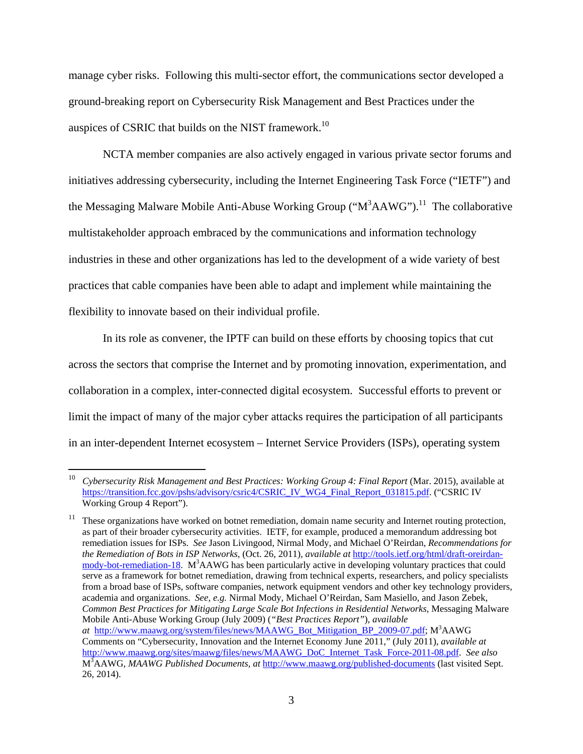manage cyber risks. Following this multi-sector effort, the communications sector developed a ground-breaking report on Cybersecurity Risk Management and Best Practices under the auspices of CSRIC that builds on the NIST framework.<sup>10</sup>

 NCTA member companies are also actively engaged in various private sector forums and initiatives addressing cybersecurity, including the Internet Engineering Task Force ("IETF") and the Messaging Malware Mobile Anti-Abuse Working Group (" $M<sup>3</sup>AAWG$ ").<sup>11</sup> The collaborative multistakeholder approach embraced by the communications and information technology industries in these and other organizations has led to the development of a wide variety of best practices that cable companies have been able to adapt and implement while maintaining the flexibility to innovate based on their individual profile.

In its role as convener, the IPTF can build on these efforts by choosing topics that cut across the sectors that comprise the Internet and by promoting innovation, experimentation, and collaboration in a complex, inter-connected digital ecosystem. Successful efforts to prevent or limit the impact of many of the major cyber attacks requires the participation of all participants in an inter-dependent Internet ecosystem – Internet Service Providers (ISPs), operating system

1

<sup>10</sup> *Cybersecurity Risk Management and Best Practices: Working Group 4: Final Report* (Mar. 2015), available at https://transition.fcc.gov/pshs/advisory/csric4/CSRIC\_IV\_WG4\_Final\_Report\_031815.pdf. ("CSRIC IV Working Group 4 Report").

 $11$  These organizations have worked on botnet remediation, domain name security and Internet routing protection, as part of their broader cybersecurity activities. IETF, for example, produced a memorandum addressing bot remediation issues for ISPs. *See* Jason Livingood, Nirmal Mody, and Michael O'Reirdan, *Recommendations for the Remediation of Bots in ISP Networks*, (Oct. 26, 2011)*, available at* http://tools.ietf.org/html/draft-oreirdanmody-bot-remediation-18. M<sup>3</sup>AAWG has been particularly active in developing voluntary practices that could serve as a framework for botnet remediation, drawing from technical experts, researchers, and policy specialists from a broad base of ISPs, software companies, network equipment vendors and other key technology providers, academia and organizations. *See, e.g.* Nirmal Mody, Michael O'Reirdan, Sam Masiello, and Jason Zebek, *Common Best Practices for Mitigating Large Scale Bot Infections in Residential Networks, Messaging Malware* Mobile Anti-Abuse Working Group (July 2009) (*"Best Practices Report"*), *available at* http://www.maawg.org/system/files/news/MAAWG\_Bot\_Mitigation\_BP\_2009-07.pdf; M3 AAWG Comments on "Cybersecurity, Innovation and the Internet Economy June 2011," (July 2011), *available at* http://www.maawg.org/sites/maawg/files/news/MAAWG\_DoC\_Internet\_Task\_Force-2011-08.pdf. *See also*  M3 AAWG, *MAAWG Published Documents, at* http://www.maawg.org/published-documents (last visited Sept. 26, 2014).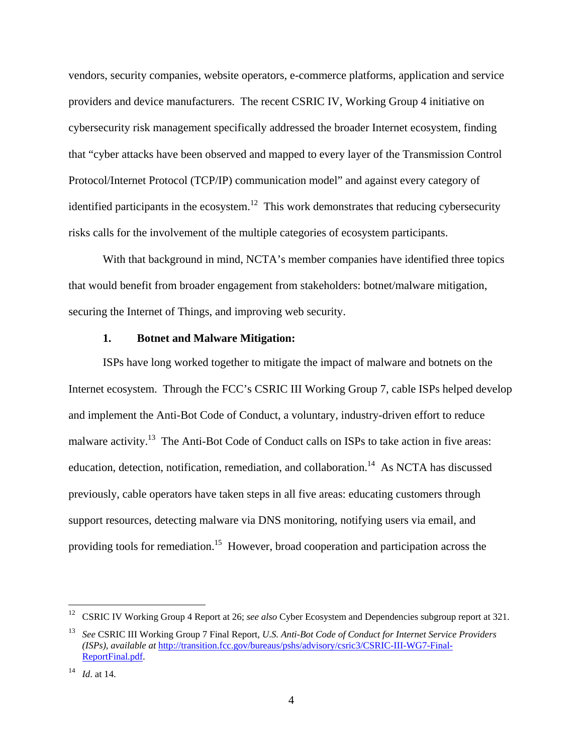vendors, security companies, website operators, e-commerce platforms, application and service providers and device manufacturers. The recent CSRIC IV, Working Group 4 initiative on cybersecurity risk management specifically addressed the broader Internet ecosystem, finding that "cyber attacks have been observed and mapped to every layer of the Transmission Control Protocol/Internet Protocol (TCP/IP) communication model" and against every category of identified participants in the ecosystem.<sup>12</sup> This work demonstrates that reducing cybersecurity risks calls for the involvement of the multiple categories of ecosystem participants.

With that background in mind, NCTA's member companies have identified three topics that would benefit from broader engagement from stakeholders: botnet/malware mitigation, securing the Internet of Things, and improving web security.

#### **1. Botnet and Malware Mitigation:**

 ISPs have long worked together to mitigate the impact of malware and botnets on the Internet ecosystem. Through the FCC's CSRIC III Working Group 7, cable ISPs helped develop and implement the Anti-Bot Code of Conduct, a voluntary, industry-driven effort to reduce malware activity.<sup>13</sup> The Anti-Bot Code of Conduct calls on ISPs to take action in five areas: education, detection, notification, remediation, and collaboration.<sup>14</sup> As NCTA has discussed previously, cable operators have taken steps in all five areas: educating customers through support resources, detecting malware via DNS monitoring, notifying users via email, and providing tools for remediation.<sup>15</sup> However, broad cooperation and participation across the

<sup>12</sup> CSRIC IV Working Group 4 Report at 26; *see also* Cyber Ecosystem and Dependencies subgroup report at 321.

<sup>13</sup> *See* CSRIC III Working Group 7 Final Report, *U.S. Anti-Bot Code of Conduct for Internet Service Providers (ISPs)*, *available at* http://transition.fcc.gov/bureaus/pshs/advisory/csric3/CSRIC-III-WG7-Final-ReportFinal.pdf.

<sup>14</sup> *Id*. at 14.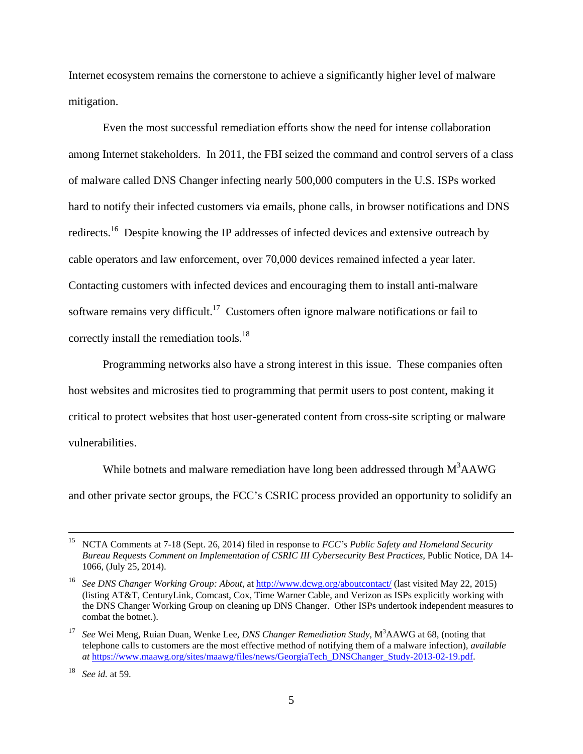Internet ecosystem remains the cornerstone to achieve a significantly higher level of malware mitigation.

 Even the most successful remediation efforts show the need for intense collaboration among Internet stakeholders. In 2011, the FBI seized the command and control servers of a class of malware called DNS Changer infecting nearly 500,000 computers in the U.S. ISPs worked hard to notify their infected customers via emails, phone calls, in browser notifications and DNS redirects.<sup>16</sup> Despite knowing the IP addresses of infected devices and extensive outreach by cable operators and law enforcement, over 70,000 devices remained infected a year later. Contacting customers with infected devices and encouraging them to install anti-malware software remains very difficult.<sup>17</sup> Customers often ignore malware notifications or fail to correctly install the remediation tools.<sup>18</sup>

 Programming networks also have a strong interest in this issue. These companies often host websites and microsites tied to programming that permit users to post content, making it critical to protect websites that host user-generated content from cross-site scripting or malware vulnerabilities.

While botnets and malware remediation have long been addressed through  $M<sup>3</sup>AAWG$ and other private sector groups, the FCC's CSRIC process provided an opportunity to solidify an

 <sup>15</sup> NCTA Comments at 7-18 (Sept. 26, 2014) filed in response to *FCC's Public Safety and Homeland Security Bureau Requests Comment on Implementation of CSRIC III Cybersecurity Best Practices,* Public Notice, DA 14- 1066, (July 25, 2014).

<sup>16</sup> *See DNS Changer Working Group: About,* at http://www.dcwg.org/aboutcontact/ (last visited May 22, 2015) (listing AT&T, CenturyLink, Comcast, Cox, Time Warner Cable, and Verizon as ISPs explicitly working with the DNS Changer Working Group on cleaning up DNS Changer. Other ISPs undertook independent measures to combat the botnet.).

<sup>&</sup>lt;sup>17</sup> See Wei Meng, Ruian Duan, Wenke Lee, *DNS Changer Remediation Study*, M<sup>3</sup>AAWG at 68, (noting that telephone calls to customers are the most effective method of notifying them of a malware infection), *available at* https://www.maawg.org/sites/maawg/files/news/GeorgiaTech\_DNSChanger\_Study-2013-02-19.pdf.

<sup>18</sup> *See id.* at 59.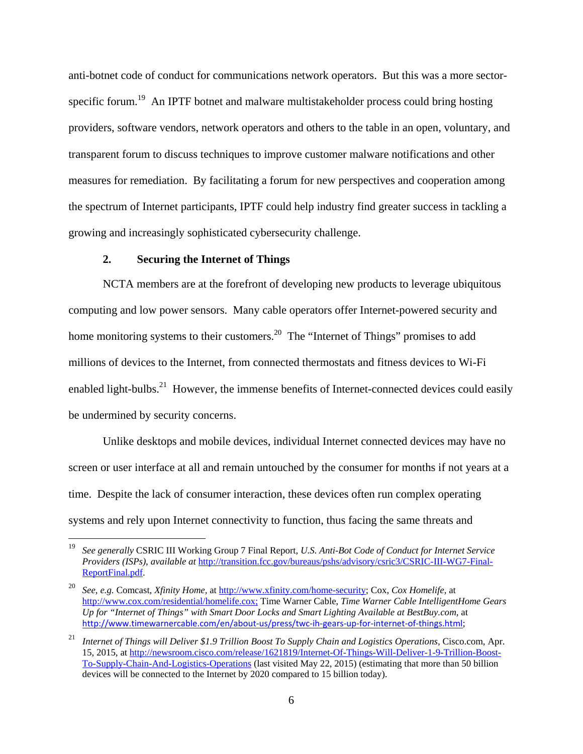anti-botnet code of conduct for communications network operators. But this was a more sectorspecific forum.<sup>19</sup> An IPTF botnet and malware multistakeholder process could bring hosting providers, software vendors, network operators and others to the table in an open, voluntary, and transparent forum to discuss techniques to improve customer malware notifications and other measures for remediation. By facilitating a forum for new perspectives and cooperation among the spectrum of Internet participants, IPTF could help industry find greater success in tackling a growing and increasingly sophisticated cybersecurity challenge.

### **2. Securing the Internet of Things**

 $\overline{a}$ 

 NCTA members are at the forefront of developing new products to leverage ubiquitous computing and low power sensors. Many cable operators offer Internet-powered security and home monitoring systems to their customers.<sup>20</sup> The "Internet of Things" promises to add millions of devices to the Internet, from connected thermostats and fitness devices to Wi-Fi enabled light-bulbs.<sup>21</sup> However, the immense benefits of Internet-connected devices could easily be undermined by security concerns.

 Unlike desktops and mobile devices, individual Internet connected devices may have no screen or user interface at all and remain untouched by the consumer for months if not years at a time. Despite the lack of consumer interaction, these devices often run complex operating systems and rely upon Internet connectivity to function, thus facing the same threats and

<sup>19</sup> *See generally* CSRIC III Working Group 7 Final Report, *U.S. Anti-Bot Code of Conduct for Internet Service Providers (ISPs)*, *available at* http://transition.fcc.gov/bureaus/pshs/advisory/csric3/CSRIC-III-WG7-Final-ReportFinal.pdf.

<sup>20</sup> *See, e.g.* Comcast, *Xfinity Home,* at http://www.xfinity.com/home-security; Cox, *Cox Homelife,* at http://www.cox.com/residential/homelife.cox; Time Warner Cable, *Time Warner Cable IntelligentHome Gears Up for "Internet of Things" with Smart Door Locks and Smart Lighting Available at BestBuy.com,* at http://www.timewarnercable.com/en/about-us/press/twc-ih-gears-up-for-internet-of-things.html;

<sup>21</sup> *Internet of Things will Deliver \$1.9 Trillion Boost To Supply Chain and Logistics Operations,* Cisco.com, Apr. 15, 2015, at http://newsroom.cisco.com/release/1621819/Internet-Of-Things-Will-Deliver-1-9-Trillion-Boost-To-Supply-Chain-And-Logistics-Operations (last visited May 22, 2015) (estimating that more than 50 billion devices will be connected to the Internet by 2020 compared to 15 billion today).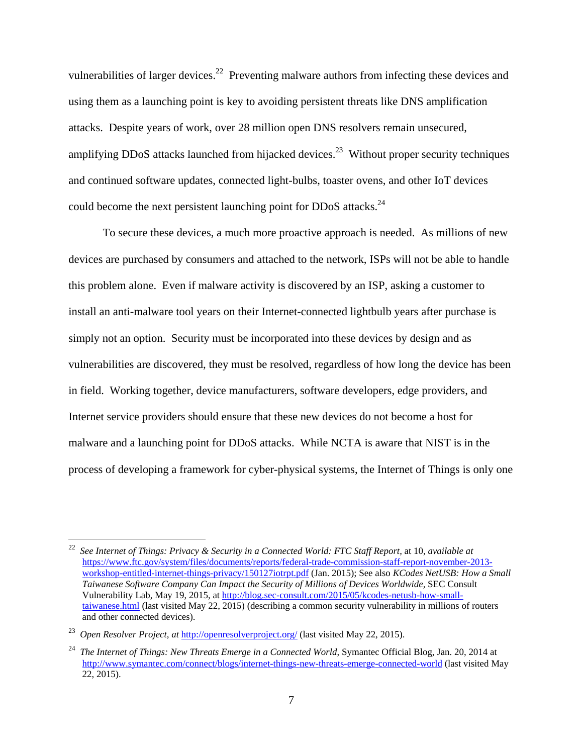vulnerabilities of larger devices.<sup>22</sup> Preventing malware authors from infecting these devices and using them as a launching point is key to avoiding persistent threats like DNS amplification attacks. Despite years of work, over 28 million open DNS resolvers remain unsecured, amplifying DDoS attacks launched from hijacked devices.<sup>23</sup> Without proper security techniques and continued software updates, connected light-bulbs, toaster ovens, and other IoT devices could become the next persistent launching point for DDoS attacks.<sup>24</sup>

 To secure these devices, a much more proactive approach is needed. As millions of new devices are purchased by consumers and attached to the network, ISPs will not be able to handle this problem alone. Even if malware activity is discovered by an ISP, asking a customer to install an anti-malware tool years on their Internet-connected lightbulb years after purchase is simply not an option. Security must be incorporated into these devices by design and as vulnerabilities are discovered, they must be resolved, regardless of how long the device has been in field. Working together, device manufacturers, software developers, edge providers, and Internet service providers should ensure that these new devices do not become a host for malware and a launching point for DDoS attacks. While NCTA is aware that NIST is in the process of developing a framework for cyber-physical systems, the Internet of Things is only one

<sup>22</sup> *See Internet of Things: Privacy & Security in a Connected World: FTC Staff Report,* at 10*, available at*  https://www.ftc.gov/system/files/documents/reports/federal-trade-commission-staff-report-november-2013 workshop-entitled-internet-things-privacy/150127iotrpt.pdf (Jan. 2015); See also *KCodes NetUSB: How a Small Taiwanese Software Company Can Impact the Security of Millions of Devices Worldwide,* SEC Consult Vulnerability Lab, May 19, 2015, at http://blog.sec-consult.com/2015/05/kcodes-netusb-how-smalltaiwanese.html (last visited May 22, 2015) (describing a common security vulnerability in millions of routers and other connected devices).

<sup>23</sup> *Open Resolver Project, at* http://openresolverproject.org/ (last visited May 22, 2015).

<sup>24</sup> *The Internet of Things: New Threats Emerge in a Connected World*, Symantec Official Blog, Jan. 20, 2014 at http://www.symantec.com/connect/blogs/internet-things-new-threats-emerge-connected-world (last visited May 22, 2015).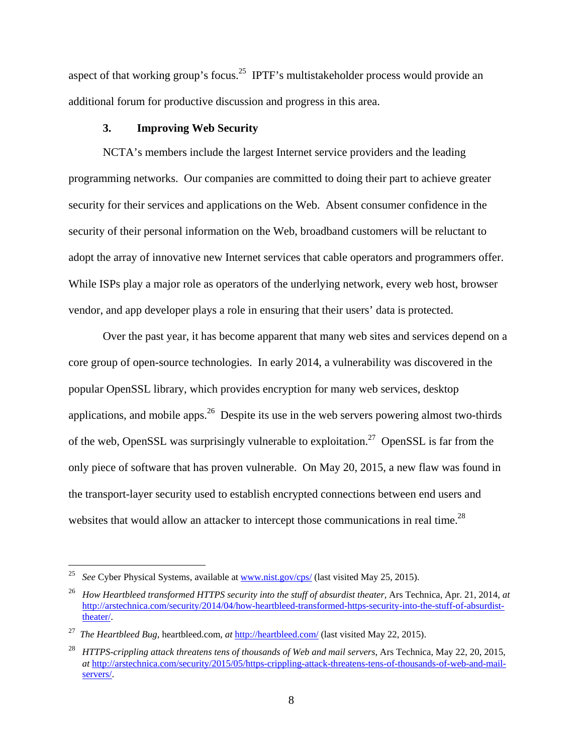aspect of that working group's focus.<sup>25</sup> IPTF's multistakeholder process would provide an additional forum for productive discussion and progress in this area.

## **3. Improving Web Security**

 NCTA's members include the largest Internet service providers and the leading programming networks. Our companies are committed to doing their part to achieve greater security for their services and applications on the Web. Absent consumer confidence in the security of their personal information on the Web, broadband customers will be reluctant to adopt the array of innovative new Internet services that cable operators and programmers offer. While ISPs play a major role as operators of the underlying network, every web host, browser vendor, and app developer plays a role in ensuring that their users' data is protected.

 Over the past year, it has become apparent that many web sites and services depend on a core group of open-source technologies. In early 2014, a vulnerability was discovered in the popular OpenSSL library, which provides encryption for many web services, desktop applications, and mobile apps. $26$  Despite its use in the web servers powering almost two-thirds of the web, OpenSSL was surprisingly vulnerable to exploitation.<sup>27</sup> OpenSSL is far from the only piece of software that has proven vulnerable. On May 20, 2015, a new flaw was found in the transport-layer security used to establish encrypted connections between end users and websites that would allow an attacker to intercept those communications in real time.<sup>28</sup>

1

<sup>25</sup> *See* Cyber Physical Systems, available at www.nist.gov/cps/ (last visited May 25, 2015).

<sup>26</sup> *How Heartbleed transformed HTTPS security into the stuff of absurdist theater,* Ars Technica, Apr. 21, 2014, *at* http://arstechnica.com/security/2014/04/how-heartbleed-transformed-https-security-into-the-stuff-of-absurdisttheater/.

<sup>27</sup> *The Heartbleed Bug,* heartbleed.com, *at* http://heartbleed.com/ (last visited May 22, 2015).

<sup>28</sup> *HTTPS-crippling attack threatens tens of thousands of Web and mail servers*, Ars Technica, May 22, 20, 2015, *at* http://arstechnica.com/security/2015/05/https-crippling-attack-threatens-tens-of-thousands-of-web-and-mailservers/.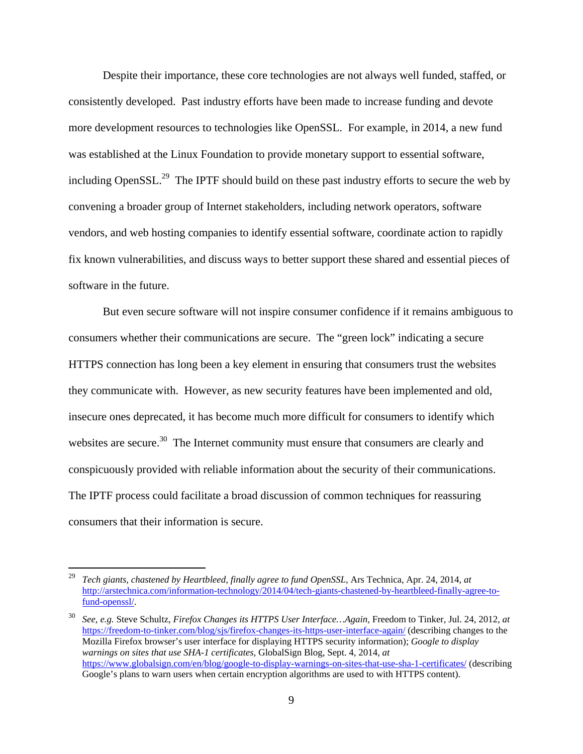Despite their importance, these core technologies are not always well funded, staffed, or consistently developed. Past industry efforts have been made to increase funding and devote more development resources to technologies like OpenSSL. For example, in 2014, a new fund was established at the Linux Foundation to provide monetary support to essential software, including Open $SSL<sup>29</sup>$  The IPTF should build on these past industry efforts to secure the web by convening a broader group of Internet stakeholders, including network operators, software vendors, and web hosting companies to identify essential software, coordinate action to rapidly fix known vulnerabilities, and discuss ways to better support these shared and essential pieces of software in the future.

 But even secure software will not inspire consumer confidence if it remains ambiguous to consumers whether their communications are secure. The "green lock" indicating a secure HTTPS connection has long been a key element in ensuring that consumers trust the websites they communicate with. However, as new security features have been implemented and old, insecure ones deprecated, it has become much more difficult for consumers to identify which websites are secure.<sup>30</sup> The Internet community must ensure that consumers are clearly and conspicuously provided with reliable information about the security of their communications. The IPTF process could facilitate a broad discussion of common techniques for reassuring consumers that their information is secure.

<sup>29</sup> *Tech giants, chastened by Heartbleed, finally agree to fund OpenSSL,* Ars Technica, Apr. 24, 2014, *at* http://arstechnica.com/information-technology/2014/04/tech-giants-chastened-by-heartbleed-finally-agree-tofund-openssl/.

<sup>30</sup> *See, e.g.* Steve Schultz, *Firefox Changes its HTTPS User Interface…Again,* Freedom to Tinker, Jul. 24, 2012, *at*  https://freedom-to-tinker.com/blog/sjs/firefox-changes-its-https-user-interface-again/ (describing changes to the Mozilla Firefox browser's user interface for displaying HTTPS security information); *Google to display warnings on sites that use SHA-1 certificates,* GlobalSign Blog, Sept. 4, 2014, *at*  https://www.globalsign.com/en/blog/google-to-display-warnings-on-sites-that-use-sha-1-certificates/ (describing Google's plans to warn users when certain encryption algorithms are used to with HTTPS content).